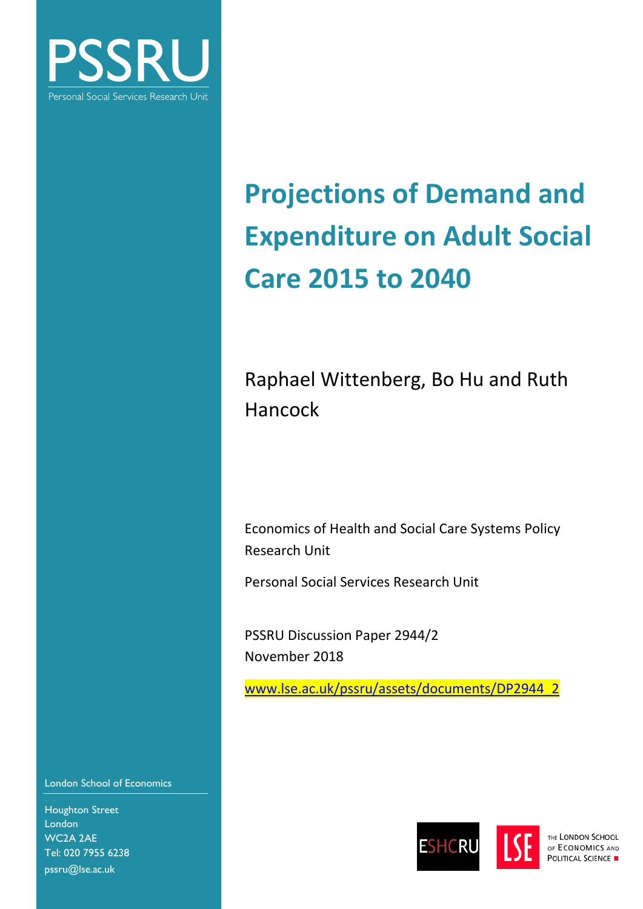

# **Projections of Demand and Expenditure on Adult Social Care 2015 to 2040**

Raphael Wittenberg, Bo Hu and Ruth Hancock

Economics of Health and Social Care Systems Policy Research Unit

Personal Social Services Research Unit

PSSRU Discussion Paper 2944/2 November 2018

[www.lse.ac.uk/pssru/assets/documents/DP2944\\_2](http://www.lse.ac.uk/pssru/assets/documents/DP2944_2)

London School of Economics

Houghton Street London WC2A 2AE Tel: 020 7955 6238 pssru@lse.ac.uk



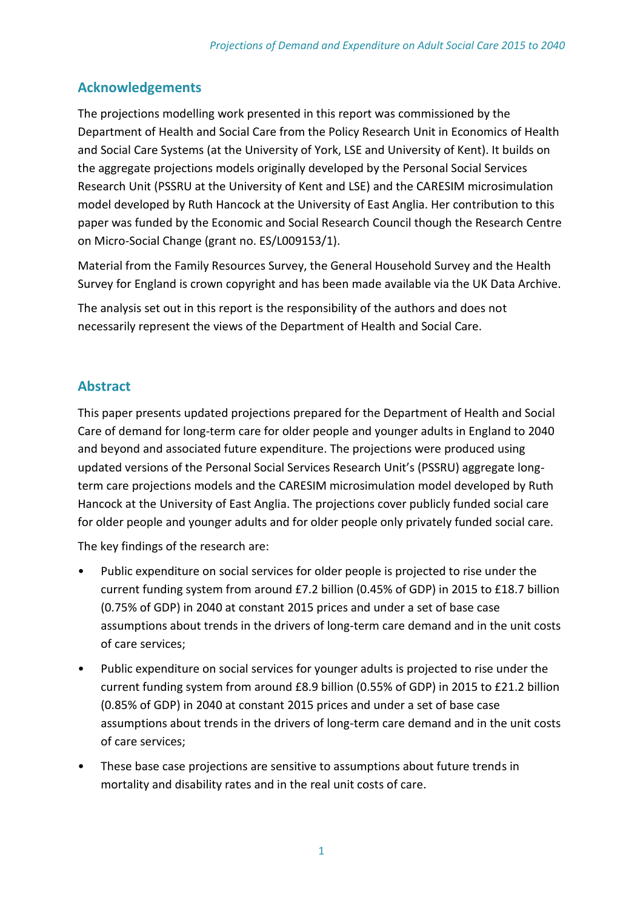## **Acknowledgements**

The projections modelling work presented in this report was commissioned by the Department of Health and Social Care from the Policy Research Unit in Economics of Health and Social Care Systems (at the University of York, LSE and University of Kent). It builds on the aggregate projections models originally developed by the Personal Social Services Research Unit (PSSRU at the University of Kent and LSE) and the CARESIM microsimulation model developed by Ruth Hancock at the University of East Anglia. Her contribution to this paper was funded by the Economic and Social Research Council though the Research Centre on Micro-Social Change (grant no. ES/L009153/1).

Material from the Family Resources Survey, the General Household Survey and the Health Survey for England is crown copyright and has been made available via the UK Data Archive.

The analysis set out in this report is the responsibility of the authors and does not necessarily represent the views of the Department of Health and Social Care.

## **Abstract**

This paper presents updated projections prepared for the Department of Health and Social Care of demand for long-term care for older people and younger adults in England to 2040 and beyond and associated future expenditure. The projections were produced using updated versions of the Personal Social Services Research Unit's (PSSRU) aggregate longterm care projections models and the CARESIM microsimulation model developed by Ruth Hancock at the University of East Anglia. The projections cover publicly funded social care for older people and younger adults and for older people only privately funded social care.

The key findings of the research are:

- Public expenditure on social services for older people is projected to rise under the current funding system from around £7.2 billion (0.45% of GDP) in 2015 to £18.7 billion (0.75% of GDP) in 2040 at constant 2015 prices and under a set of base case assumptions about trends in the drivers of long-term care demand and in the unit costs of care services;
- Public expenditure on social services for younger adults is projected to rise under the current funding system from around £8.9 billion (0.55% of GDP) in 2015 to £21.2 billion (0.85% of GDP) in 2040 at constant 2015 prices and under a set of base case assumptions about trends in the drivers of long-term care demand and in the unit costs of care services;
- These base case projections are sensitive to assumptions about future trends in mortality and disability rates and in the real unit costs of care.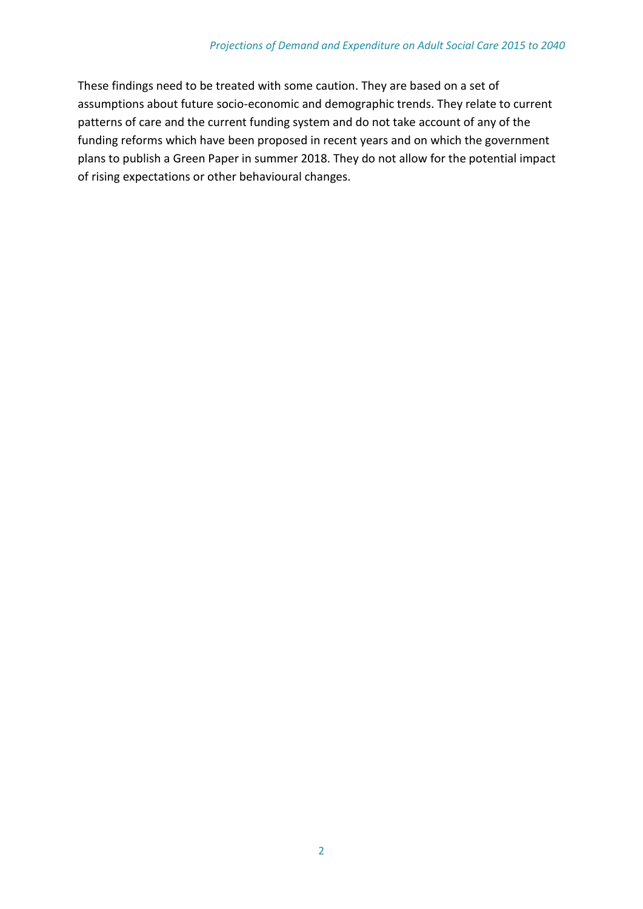These findings need to be treated with some caution. They are based on a set of assumptions about future socio-economic and demographic trends. They relate to current patterns of care and the current funding system and do not take account of any of the funding reforms which have been proposed in recent years and on which the government plans to publish a Green Paper in summer 2018. They do not allow for the potential impact of rising expectations or other behavioural changes.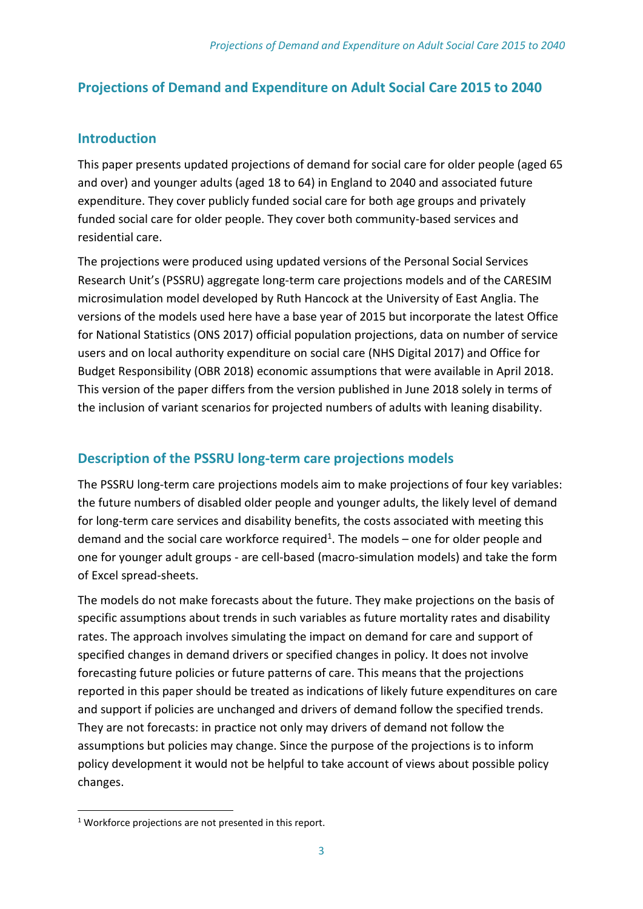## **Projections of Demand and Expenditure on Adult Social Care 2015 to 2040**

## **Introduction**

This paper presents updated projections of demand for social care for older people (aged 65 and over) and younger adults (aged 18 to 64) in England to 2040 and associated future expenditure. They cover publicly funded social care for both age groups and privately funded social care for older people. They cover both community-based services and residential care.

The projections were produced using updated versions of the Personal Social Services Research Unit's (PSSRU) aggregate long-term care projections models and of the CARESIM microsimulation model developed by Ruth Hancock at the University of East Anglia. The versions of the models used here have a base year of 2015 but incorporate the latest Office for National Statistics (ONS 2017) official population projections, data on number of service users and on local authority expenditure on social care (NHS Digital 2017) and Office for Budget Responsibility (OBR 2018) economic assumptions that were available in April 2018. This version of the paper differs from the version published in June 2018 solely in terms of the inclusion of variant scenarios for projected numbers of adults with leaning disability.

## **Description of the PSSRU long-term care projections models**

The PSSRU long-term care projections models aim to make projections of four key variables: the future numbers of disabled older people and younger adults, the likely level of demand for long-term care services and disability benefits, the costs associated with meeting this demand and the social care workforce required<sup>1</sup>. The models – one for older people and one for younger adult groups - are cell-based (macro-simulation models) and take the form of Excel spread-sheets.

The models do not make forecasts about the future. They make projections on the basis of specific assumptions about trends in such variables as future mortality rates and disability rates. The approach involves simulating the impact on demand for care and support of specified changes in demand drivers or specified changes in policy. It does not involve forecasting future policies or future patterns of care. This means that the projections reported in this paper should be treated as indications of likely future expenditures on care and support if policies are unchanged and drivers of demand follow the specified trends. They are not forecasts: in practice not only may drivers of demand not follow the assumptions but policies may change. Since the purpose of the projections is to inform policy development it would not be helpful to take account of views about possible policy changes.

1

<sup>&</sup>lt;sup>1</sup> Workforce projections are not presented in this report.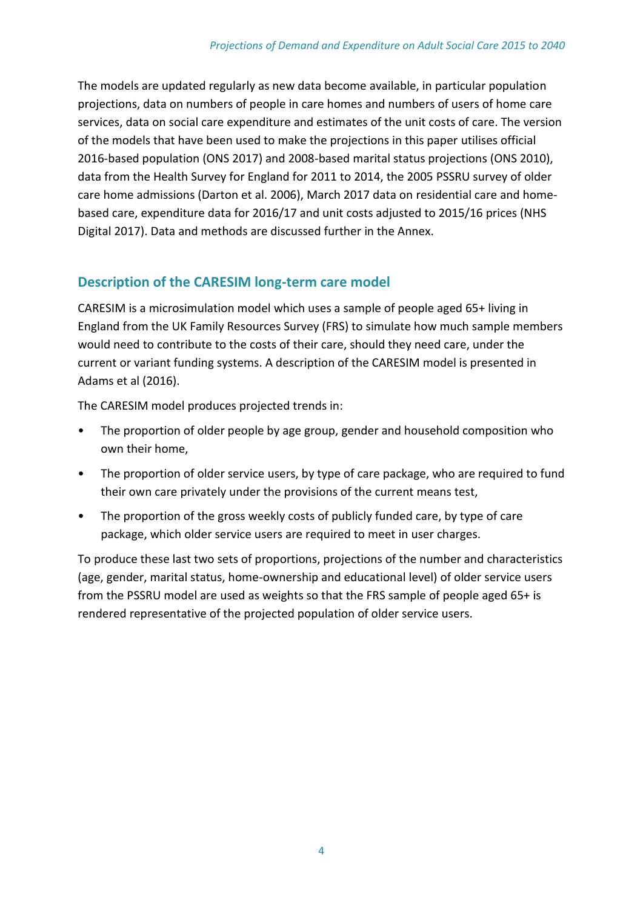The models are updated regularly as new data become available, in particular population projections, data on numbers of people in care homes and numbers of users of home care services, data on social care expenditure and estimates of the unit costs of care. The version of the models that have been used to make the projections in this paper utilises official 2016-based population (ONS 2017) and 2008-based marital status projections (ONS 2010), data from the Health Survey for England for 2011 to 2014, the 2005 PSSRU survey of older care home admissions (Darton et al. 2006), March 2017 data on residential care and homebased care, expenditure data for 2016/17 and unit costs adjusted to 2015/16 prices (NHS Digital 2017). Data and methods are discussed further in the Annex.

## **Description of the CARESIM long-term care model**

CARESIM is a microsimulation model which uses a sample of people aged 65+ living in England from the UK Family Resources Survey (FRS) to simulate how much sample members would need to contribute to the costs of their care, should they need care, under the current or variant funding systems. A description of the CARESIM model is presented in Adams et al (2016).

The CARESIM model produces projected trends in:

- The proportion of older people by age group, gender and household composition who own their home,
- The proportion of older service users, by type of care package, who are required to fund their own care privately under the provisions of the current means test,
- The proportion of the gross weekly costs of publicly funded care, by type of care package, which older service users are required to meet in user charges.

To produce these last two sets of proportions, projections of the number and characteristics (age, gender, marital status, home-ownership and educational level) of older service users from the PSSRU model are used as weights so that the FRS sample of people aged 65+ is rendered representative of the projected population of older service users.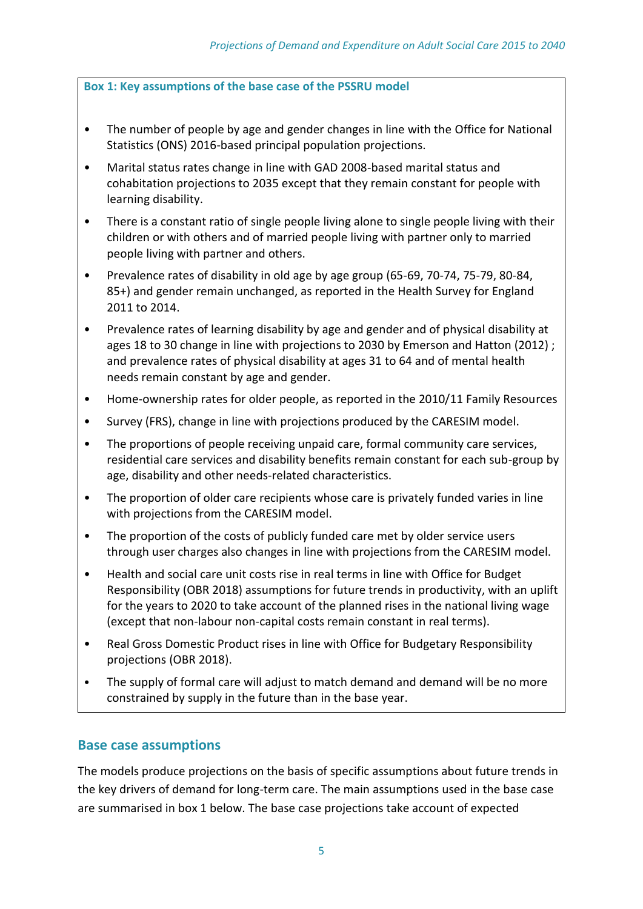**Box 1: Key assumptions of the base case of the PSSRU model**

- The number of people by age and gender changes in line with the Office for National Statistics (ONS) 2016-based principal population projections.
- Marital status rates change in line with GAD 2008-based marital status and cohabitation projections to 2035 except that they remain constant for people with learning disability.
- There is a constant ratio of single people living alone to single people living with their children or with others and of married people living with partner only to married people living with partner and others.
- Prevalence rates of disability in old age by age group (65-69, 70-74, 75-79, 80-84, 85+) and gender remain unchanged, as reported in the Health Survey for England 2011 to 2014.
- Prevalence rates of learning disability by age and gender and of physical disability at ages 18 to 30 change in line with projections to 2030 by Emerson and Hatton (2012) ; and prevalence rates of physical disability at ages 31 to 64 and of mental health needs remain constant by age and gender.
- Home-ownership rates for older people, as reported in the 2010/11 Family Resources
- Survey (FRS), change in line with projections produced by the CARESIM model.
- The proportions of people receiving unpaid care, formal community care services, residential care services and disability benefits remain constant for each sub-group by age, disability and other needs-related characteristics.
- The proportion of older care recipients whose care is privately funded varies in line with projections from the CARESIM model.
- The proportion of the costs of publicly funded care met by older service users through user charges also changes in line with projections from the CARESIM model.
- Health and social care unit costs rise in real terms in line with Office for Budget Responsibility (OBR 2018) assumptions for future trends in productivity, with an uplift for the years to 2020 to take account of the planned rises in the national living wage (except that non-labour non-capital costs remain constant in real terms).
- Real Gross Domestic Product rises in line with Office for Budgetary Responsibility projections (OBR 2018).
- The supply of formal care will adjust to match demand and demand will be no more constrained by supply in the future than in the base year.

## **Base case assumptions**

The models produce projections on the basis of specific assumptions about future trends in the key drivers of demand for long-term care. The main assumptions used in the base case are summarised in box 1 below. The base case projections take account of expected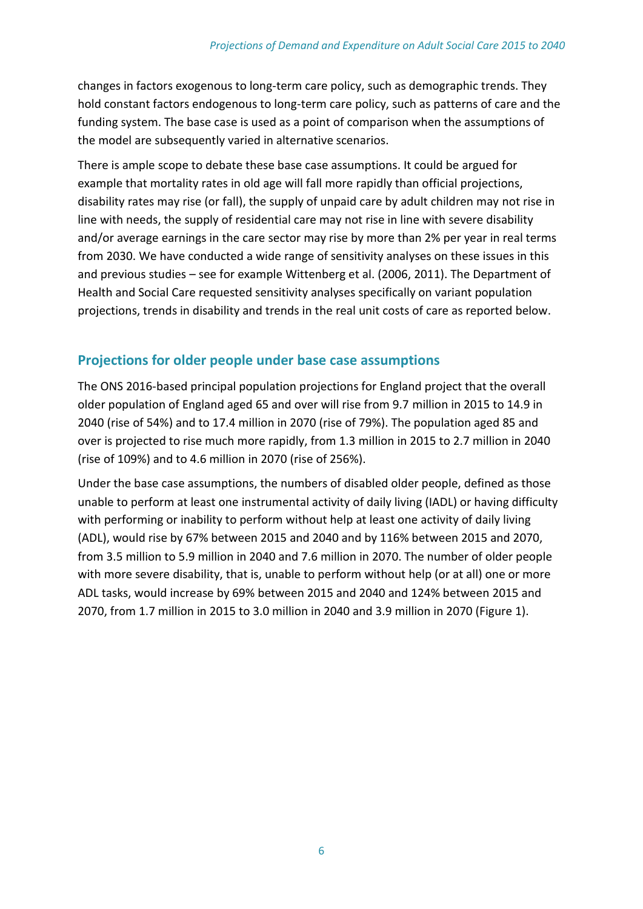changes in factors exogenous to long-term care policy, such as demographic trends. They hold constant factors endogenous to long-term care policy, such as patterns of care and the funding system. The base case is used as a point of comparison when the assumptions of the model are subsequently varied in alternative scenarios.

There is ample scope to debate these base case assumptions. It could be argued for example that mortality rates in old age will fall more rapidly than official projections, disability rates may rise (or fall), the supply of unpaid care by adult children may not rise in line with needs, the supply of residential care may not rise in line with severe disability and/or average earnings in the care sector may rise by more than 2% per year in real terms from 2030. We have conducted a wide range of sensitivity analyses on these issues in this and previous studies – see for example Wittenberg et al. (2006, 2011). The Department of Health and Social Care requested sensitivity analyses specifically on variant population projections, trends in disability and trends in the real unit costs of care as reported below.

## **Projections for older people under base case assumptions**

The ONS 2016-based principal population projections for England project that the overall older population of England aged 65 and over will rise from 9.7 million in 2015 to 14.9 in 2040 (rise of 54%) and to 17.4 million in 2070 (rise of 79%). The population aged 85 and over is projected to rise much more rapidly, from 1.3 million in 2015 to 2.7 million in 2040 (rise of 109%) and to 4.6 million in 2070 (rise of 256%).

Under the base case assumptions, the numbers of disabled older people, defined as those unable to perform at least one instrumental activity of daily living (IADL) or having difficulty with performing or inability to perform without help at least one activity of daily living (ADL), would rise by 67% between 2015 and 2040 and by 116% between 2015 and 2070, from 3.5 million to 5.9 million in 2040 and 7.6 million in 2070. The number of older people with more severe disability, that is, unable to perform without help (or at all) one or more ADL tasks, would increase by 69% between 2015 and 2040 and 124% between 2015 and 2070, from 1.7 million in 2015 to 3.0 million in 2040 and 3.9 million in 2070 (Figure 1).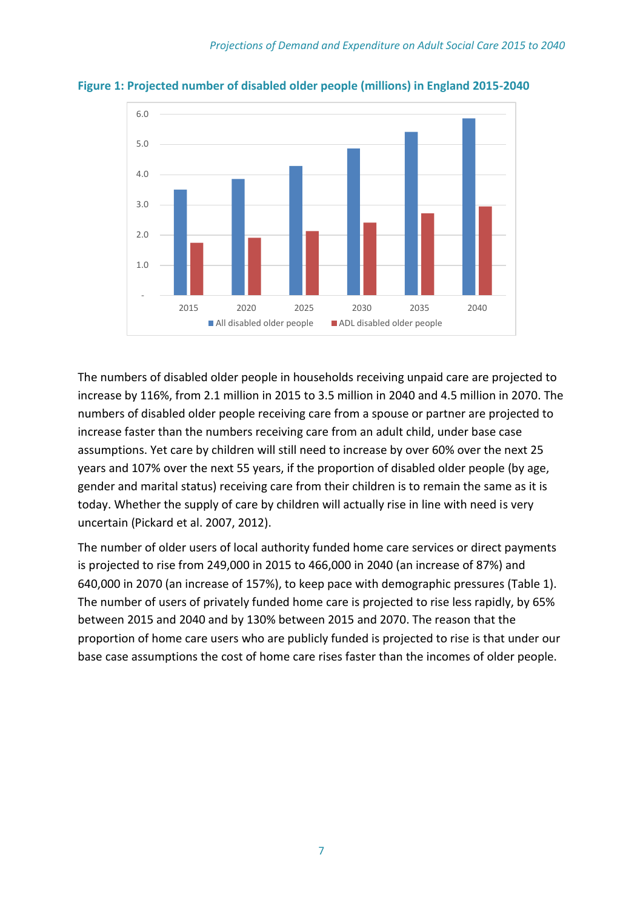

**Figure 1: Projected number of disabled older people (millions) in England 2015-2040**

The numbers of disabled older people in households receiving unpaid care are projected to increase by 116%, from 2.1 million in 2015 to 3.5 million in 2040 and 4.5 million in 2070. The numbers of disabled older people receiving care from a spouse or partner are projected to increase faster than the numbers receiving care from an adult child, under base case assumptions. Yet care by children will still need to increase by over 60% over the next 25 years and 107% over the next 55 years, if the proportion of disabled older people (by age, gender and marital status) receiving care from their children is to remain the same as it is today. Whether the supply of care by children will actually rise in line with need is very uncertain (Pickard et al. 2007, 2012).

The number of older users of local authority funded home care services or direct payments is projected to rise from 249,000 in 2015 to 466,000 in 2040 (an increase of 87%) and 640,000 in 2070 (an increase of 157%), to keep pace with demographic pressures (Table 1). The number of users of privately funded home care is projected to rise less rapidly, by 65% between 2015 and 2040 and by 130% between 2015 and 2070. The reason that the proportion of home care users who are publicly funded is projected to rise is that under our base case assumptions the cost of home care rises faster than the incomes of older people.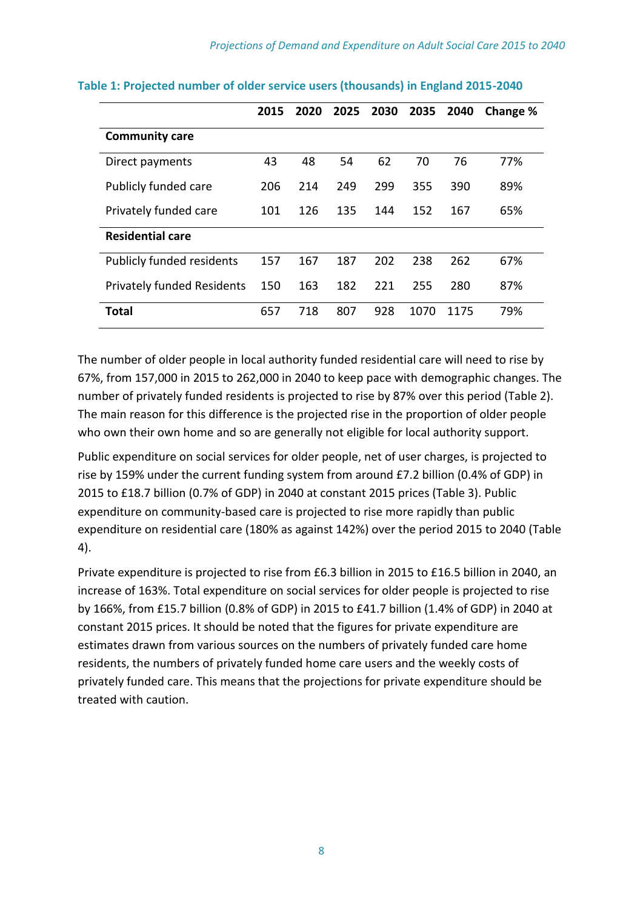|                                   | 2015 | 2020 | 2025 | 2030 | 2035 | 2040 | Change % |
|-----------------------------------|------|------|------|------|------|------|----------|
| <b>Community care</b>             |      |      |      |      |      |      |          |
| Direct payments                   | 43   | 48   | 54   | 62   | 70   | 76   | 77%      |
| Publicly funded care              | 206  | 214  | 249  | 299  | 355  | 390  | 89%      |
| Privately funded care             | 101  | 126  | 135  | 144  | 152  | 167  | 65%      |
| <b>Residential care</b>           |      |      |      |      |      |      |          |
| <b>Publicly funded residents</b>  | 157  | 167  | 187  | 202  | 238  | 262  | 67%      |
| <b>Privately funded Residents</b> | 150  | 163  | 182  | 221  | 255  | 280  | 87%      |
| <b>Total</b>                      | 657  | 718  | 807  | 928  | 1070 | 1175 | 79%      |

#### **Table 1: Projected number of older service users (thousands) in England 2015-2040**

The number of older people in local authority funded residential care will need to rise by 67%, from 157,000 in 2015 to 262,000 in 2040 to keep pace with demographic changes. The number of privately funded residents is projected to rise by 87% over this period (Table 2). The main reason for this difference is the projected rise in the proportion of older people who own their own home and so are generally not eligible for local authority support.

Public expenditure on social services for older people, net of user charges, is projected to rise by 159% under the current funding system from around £7.2 billion (0.4% of GDP) in 2015 to £18.7 billion (0.7% of GDP) in 2040 at constant 2015 prices (Table 3). Public expenditure on community-based care is projected to rise more rapidly than public expenditure on residential care (180% as against 142%) over the period 2015 to 2040 (Table 4).

Private expenditure is projected to rise from £6.3 billion in 2015 to £16.5 billion in 2040, an increase of 163%. Total expenditure on social services for older people is projected to rise by 166%, from £15.7 billion (0.8% of GDP) in 2015 to £41.7 billion (1.4% of GDP) in 2040 at constant 2015 prices. It should be noted that the figures for private expenditure are estimates drawn from various sources on the numbers of privately funded care home residents, the numbers of privately funded home care users and the weekly costs of privately funded care. This means that the projections for private expenditure should be treated with caution.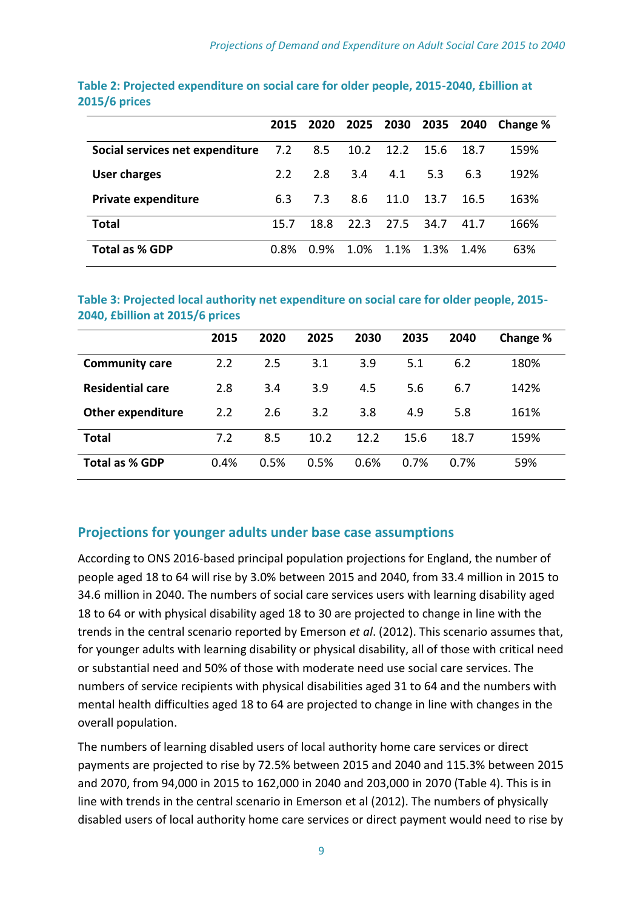|                                 |         | 2015 2020 2025 |      | 2030           | 2035 |      | <b>2040</b> Change % |
|---------------------------------|---------|----------------|------|----------------|------|------|----------------------|
| Social services net expenditure | 7.2     | 8.5            |      | 10.2 12.2 15.6 |      | 18.7 | 159%                 |
| <b>User charges</b>             | 2.2     | 2.8            | 3.4  | 4.1            | 5.3  | 6.3  | 192%                 |
| <b>Private expenditure</b>      | 6.3     | 73             | 8.6  | 11.0           | 13.7 | 16.5 | 163%                 |
| <b>Total</b>                    | 15.7    | 18.8           | 22.3 | 27.5           | 34.7 | 41.7 | 166%                 |
| <b>Total as % GDP</b>           | $0.8\%$ | $0.9\%$        | 1.0% | $1.1\%$        | 1.3% | 1.4% | 63%                  |

#### **Table 2: Projected expenditure on social care for older people, 2015-2040, £billion at 2015/6 prices**

**Table 3: Projected local authority net expenditure on social care for older people, 2015- 2040, £billion at 2015/6 prices**

|                          | 2015 | 2020 | 2025 | 2030 | 2035 | 2040 | Change % |
|--------------------------|------|------|------|------|------|------|----------|
| <b>Community care</b>    | 2.2  | 2.5  | 3.1  | 3.9  | 5.1  | 6.2  | 180%     |
| <b>Residential care</b>  | 2.8  | 3.4  | 3.9  | 4.5  | 5.6  | 6.7  | 142%     |
| <b>Other expenditure</b> | 2.2  | 2.6  | 3.2  | 3.8  | 4.9  | 5.8  | 161%     |
| Total                    | 7.2  | 8.5  | 10.2 | 12.2 | 15.6 | 18.7 | 159%     |
| <b>Total as % GDP</b>    | 0.4% | 0.5% | 0.5% | 0.6% | 0.7% | 0.7% | 59%      |

## **Projections for younger adults under base case assumptions**

According to ONS 2016-based principal population projections for England, the number of people aged 18 to 64 will rise by 3.0% between 2015 and 2040, from 33.4 million in 2015 to 34.6 million in 2040. The numbers of social care services users with learning disability aged 18 to 64 or with physical disability aged 18 to 30 are projected to change in line with the trends in the central scenario reported by Emerson *et al*. (2012). This scenario assumes that, for younger adults with learning disability or physical disability, all of those with critical need or substantial need and 50% of those with moderate need use social care services. The numbers of service recipients with physical disabilities aged 31 to 64 and the numbers with mental health difficulties aged 18 to 64 are projected to change in line with changes in the overall population.

The numbers of learning disabled users of local authority home care services or direct payments are projected to rise by 72.5% between 2015 and 2040 and 115.3% between 2015 and 2070, from 94,000 in 2015 to 162,000 in 2040 and 203,000 in 2070 (Table 4). This is in line with trends in the central scenario in Emerson et al (2012). The numbers of physically disabled users of local authority home care services or direct payment would need to rise by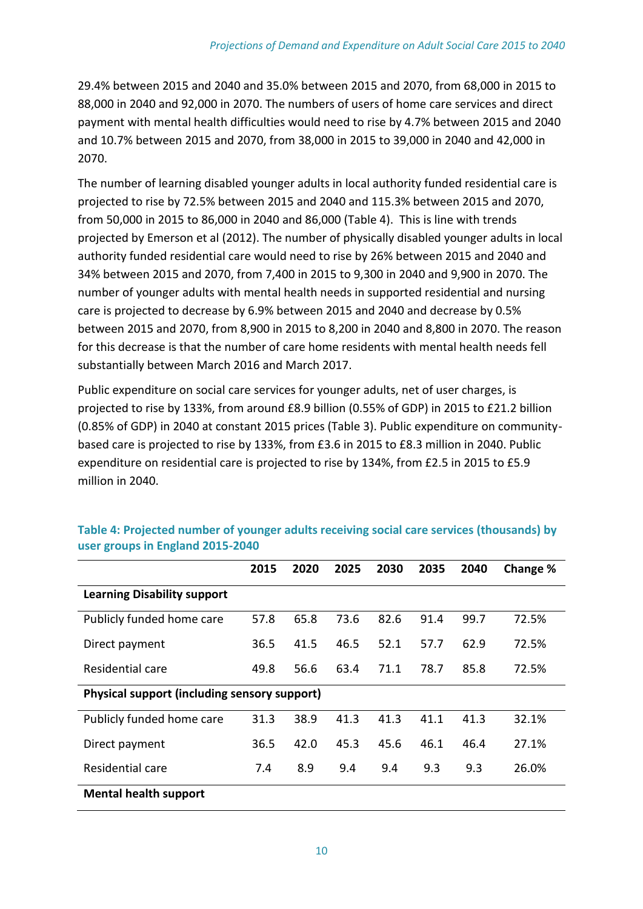29.4% between 2015 and 2040 and 35.0% between 2015 and 2070, from 68,000 in 2015 to 88,000 in 2040 and 92,000 in 2070. The numbers of users of home care services and direct payment with mental health difficulties would need to rise by 4.7% between 2015 and 2040 and 10.7% between 2015 and 2070, from 38,000 in 2015 to 39,000 in 2040 and 42,000 in 2070.

The number of learning disabled younger adults in local authority funded residential care is projected to rise by 72.5% between 2015 and 2040 and 115.3% between 2015 and 2070, from 50,000 in 2015 to 86,000 in 2040 and 86,000 (Table 4). This is line with trends projected by Emerson et al (2012). The number of physically disabled younger adults in local authority funded residential care would need to rise by 26% between 2015 and 2040 and 34% between 2015 and 2070, from 7,400 in 2015 to 9,300 in 2040 and 9,900 in 2070. The number of younger adults with mental health needs in supported residential and nursing care is projected to decrease by 6.9% between 2015 and 2040 and decrease by 0.5% between 2015 and 2070, from 8,900 in 2015 to 8,200 in 2040 and 8,800 in 2070. The reason for this decrease is that the number of care home residents with mental health needs fell substantially between March 2016 and March 2017.

Public expenditure on social care services for younger adults, net of user charges, is projected to rise by 133%, from around £8.9 billion (0.55% of GDP) in 2015 to £21.2 billion (0.85% of GDP) in 2040 at constant 2015 prices (Table 3). Public expenditure on communitybased care is projected to rise by 133%, from £3.6 in 2015 to £8.3 million in 2040. Public expenditure on residential care is projected to rise by 134%, from £2.5 in 2015 to £5.9 million in 2040.

|                                              | 2015 | 2020 | 2025 | 2030 | 2035 | 2040 | Change % |
|----------------------------------------------|------|------|------|------|------|------|----------|
| <b>Learning Disability support</b>           |      |      |      |      |      |      |          |
| Publicly funded home care                    | 57.8 | 65.8 | 73.6 | 82.6 | 91.4 | 99.7 | 72.5%    |
| Direct payment                               | 36.5 | 41.5 | 46.5 | 52.1 | 57.7 | 62.9 | 72.5%    |
| Residential care                             | 49.8 | 56.6 | 63.4 | 71.1 | 78.7 | 85.8 | 72.5%    |
| Physical support (including sensory support) |      |      |      |      |      |      |          |
| Publicly funded home care                    | 31.3 | 38.9 | 41.3 | 41.3 | 41.1 | 41.3 | 32.1%    |
| Direct payment                               | 36.5 | 42.0 | 45.3 | 45.6 | 46.1 | 46.4 | 27.1%    |
| Residential care                             | 7.4  | 8.9  | 9.4  | 9.4  | 9.3  | 9.3  | 26.0%    |
| <b>Mental health support</b>                 |      |      |      |      |      |      |          |

**Table 4: Projected number of younger adults receiving social care services (thousands) by user groups in England 2015-2040**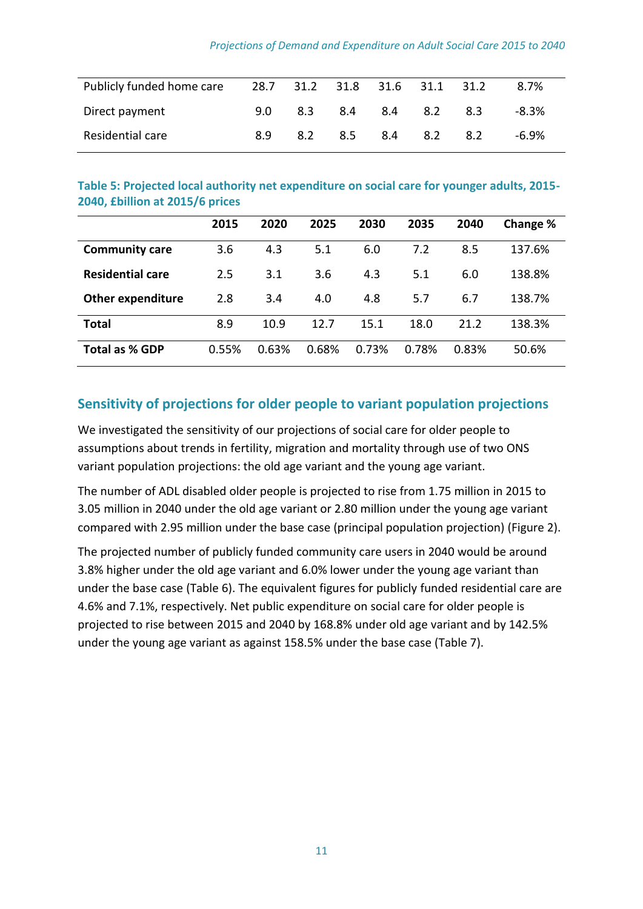| Publicly funded home care |     |     |     | 28.7 31.2 31.8 31.6 31.1 31.2 |     |     | 8.7%     |
|---------------------------|-----|-----|-----|-------------------------------|-----|-----|----------|
| Direct payment            | 9.0 | 8.3 | 8.4 | 8.4                           | 8.2 | 8.3 | $-8.3\%$ |
| Residential care          | 8.9 | 8.2 | 8.5 | 8.4                           | 8.2 | 8.2 | -6.9%    |

#### **Table 5: Projected local authority net expenditure on social care for younger adults, 2015- 2040, £billion at 2015/6 prices**

|                          | 2015  | 2020  | 2025  | 2030  | 2035  | 2040  | Change % |
|--------------------------|-------|-------|-------|-------|-------|-------|----------|
| <b>Community care</b>    | 3.6   | 4.3   | 5.1   | 6.0   | 7.2   | 8.5   | 137.6%   |
| <b>Residential care</b>  | 2.5   | 3.1   | 3.6   | 4.3   | 5.1   | 6.0   | 138.8%   |
| <b>Other expenditure</b> | 2.8   | 3.4   | 4.0   | 4.8   | 5.7   | 6.7   | 138.7%   |
| <b>Total</b>             | 8.9   | 10.9  | 12.7  | 15.1  | 18.0  | 21.2  | 138.3%   |
| <b>Total as % GDP</b>    | 0.55% | 0.63% | 0.68% | 0.73% | 0.78% | 0.83% | 50.6%    |

## **Sensitivity of projections for older people to variant population projections**

We investigated the sensitivity of our projections of social care for older people to assumptions about trends in fertility, migration and mortality through use of two ONS variant population projections: the old age variant and the young age variant.

The number of ADL disabled older people is projected to rise from 1.75 million in 2015 to 3.05 million in 2040 under the old age variant or 2.80 million under the young age variant compared with 2.95 million under the base case (principal population projection) (Figure 2).

The projected number of publicly funded community care users in 2040 would be around 3.8% higher under the old age variant and 6.0% lower under the young age variant than under the base case (Table 6). The equivalent figures for publicly funded residential care are 4.6% and 7.1%, respectively. Net public expenditure on social care for older people is projected to rise between 2015 and 2040 by 168.8% under old age variant and by 142.5% under the young age variant as against 158.5% under the base case (Table 7).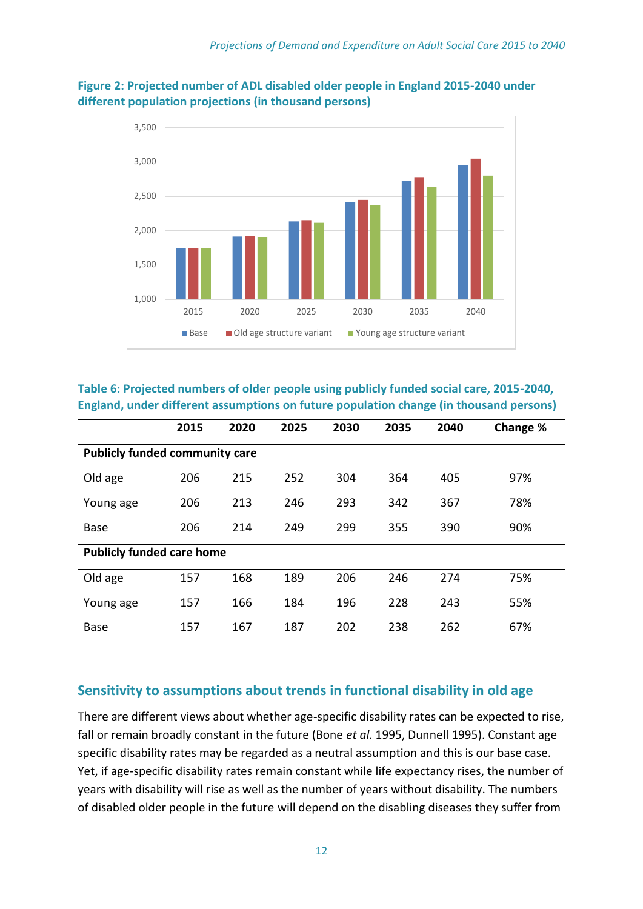

**Figure 2: Projected number of ADL disabled older people in England 2015-2040 under different population projections (in thousand persons)**

**Table 6: Projected numbers of older people using publicly funded social care, 2015-2040, England, under different assumptions on future population change (in thousand persons)**

|                                       | 2015 | 2020 | 2025 | 2030 | 2035 | 2040 | Change % |  |  |  |  |  |
|---------------------------------------|------|------|------|------|------|------|----------|--|--|--|--|--|
| <b>Publicly funded community care</b> |      |      |      |      |      |      |          |  |  |  |  |  |
| Old age                               | 206  | 215  | 252  | 304  | 364  | 405  | 97%      |  |  |  |  |  |
| Young age                             | 206  | 213  | 246  | 293  | 342  | 367  | 78%      |  |  |  |  |  |
| <b>Base</b>                           | 206  | 214  | 249  | 299  | 355  | 390  | 90%      |  |  |  |  |  |
| <b>Publicly funded care home</b>      |      |      |      |      |      |      |          |  |  |  |  |  |
| Old age                               | 157  | 168  | 189  | 206  | 246  | 274  | 75%      |  |  |  |  |  |
| Young age                             | 157  | 166  | 184  | 196  | 228  | 243  | 55%      |  |  |  |  |  |
| <b>Base</b>                           | 157  | 167  | 187  | 202  | 238  | 262  | 67%      |  |  |  |  |  |

## **Sensitivity to assumptions about trends in functional disability in old age**

There are different views about whether age-specific disability rates can be expected to rise, fall or remain broadly constant in the future (Bone *et al.* 1995, Dunnell 1995). Constant age specific disability rates may be regarded as a neutral assumption and this is our base case. Yet, if age-specific disability rates remain constant while life expectancy rises, the number of years with disability will rise as well as the number of years without disability. The numbers of disabled older people in the future will depend on the disabling diseases they suffer from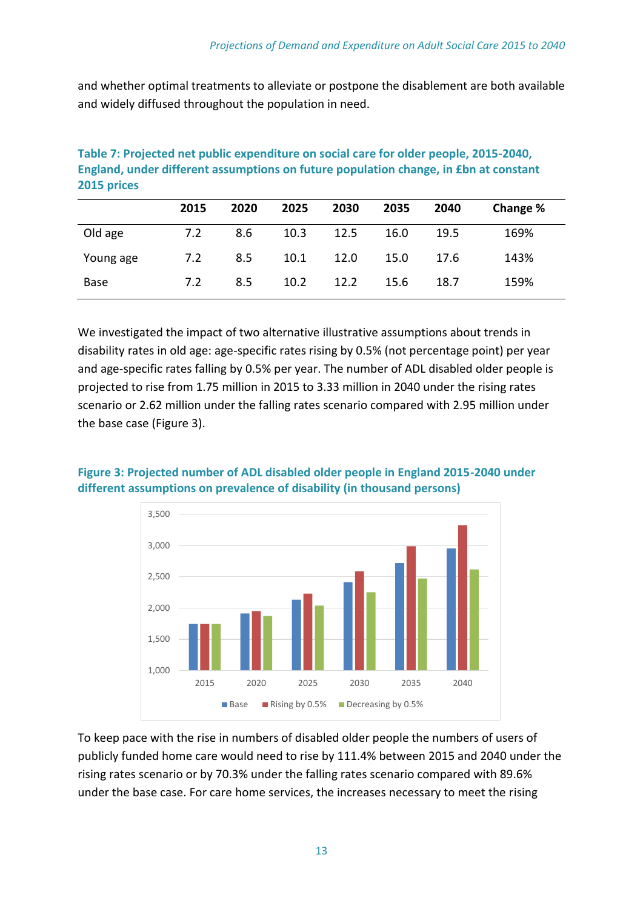and whether optimal treatments to alleviate or postpone the disablement are both available and widely diffused throughout the population in need.

|           | 2015 | 2020 | 2025 | 2030 | 2035 | 2040 | Change % |
|-----------|------|------|------|------|------|------|----------|
| Old age   | 7.2  | 8.6  | 10.3 | 12.5 | 16.0 | 19.5 | 169%     |
| Young age | 7.2  | 8.5  | 10.1 | 12.0 | 15.0 | 17.6 | 143%     |
| Base      | 7.2  | 8.5  | 10.2 | 12.2 | 15.6 | 18.7 | 159%     |

**Table 7: Projected net public expenditure on social care for older people, 2015-2040, England, under different assumptions on future population change, in £bn at constant 2015 prices**

We investigated the impact of two alternative illustrative assumptions about trends in disability rates in old age: age-specific rates rising by 0.5% (not percentage point) per year and age-specific rates falling by 0.5% per year. The number of ADL disabled older people is projected to rise from 1.75 million in 2015 to 3.33 million in 2040 under the rising rates scenario or 2.62 million under the falling rates scenario compared with 2.95 million under the base case (Figure 3).



## **Figure 3: Projected number of ADL disabled older people in England 2015-2040 under different assumptions on prevalence of disability (in thousand persons)**

To keep pace with the rise in numbers of disabled older people the numbers of users of publicly funded home care would need to rise by 111.4% between 2015 and 2040 under the rising rates scenario or by 70.3% under the falling rates scenario compared with 89.6% under the base case. For care home services, the increases necessary to meet the rising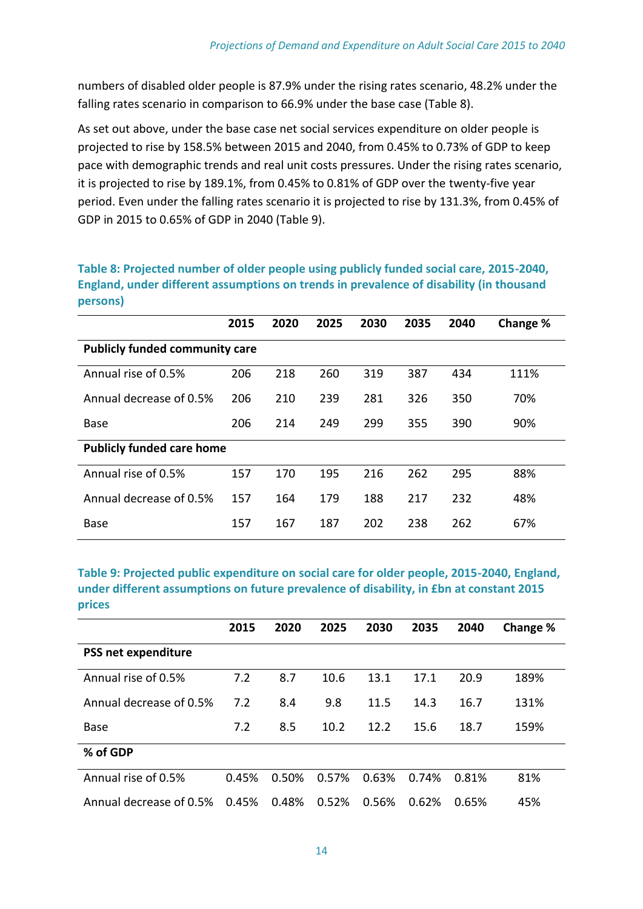numbers of disabled older people is 87.9% under the rising rates scenario, 48.2% under the falling rates scenario in comparison to 66.9% under the base case (Table 8).

As set out above, under the base case net social services expenditure on older people is projected to rise by 158.5% between 2015 and 2040, from 0.45% to 0.73% of GDP to keep pace with demographic trends and real unit costs pressures. Under the rising rates scenario, it is projected to rise by 189.1%, from 0.45% to 0.81% of GDP over the twenty-five year period. Even under the falling rates scenario it is projected to rise by 131.3%, from 0.45% of GDP in 2015 to 0.65% of GDP in 2040 (Table 9).

**Table 8: Projected number of older people using publicly funded social care, 2015-2040, England, under different assumptions on trends in prevalence of disability (in thousand persons)**

|                                       | 2015 | 2020 | 2025 | 2030 | 2035 | 2040 | Change % |  |  |
|---------------------------------------|------|------|------|------|------|------|----------|--|--|
| <b>Publicly funded community care</b> |      |      |      |      |      |      |          |  |  |
| Annual rise of 0.5%                   | 206  | 218  | 260  | 319  | 387  | 434  | 111%     |  |  |
| Annual decrease of 0.5%               | 206  | 210  | 239  | 281  | 326  | 350  | 70%      |  |  |
| <b>Base</b>                           | 206  | 214  | 249  | 299  | 355  | 390  | 90%      |  |  |
| <b>Publicly funded care home</b>      |      |      |      |      |      |      |          |  |  |
| Annual rise of 0.5%                   | 157  | 170  | 195  | 216  | 262  | 295  | 88%      |  |  |
| Annual decrease of 0.5%               | 157  | 164  | 179  | 188  | 217  | 232  | 48%      |  |  |
| <b>Base</b>                           | 157  | 167  | 187  | 202  | 238  | 262  | 67%      |  |  |

**Table 9: Projected public expenditure on social care for older people, 2015-2040, England, under different assumptions on future prevalence of disability, in £bn at constant 2015 prices**

|                         | 2015  | 2020  | 2025  | 2030  | 2035  | 2040  | Change % |
|-------------------------|-------|-------|-------|-------|-------|-------|----------|
| PSS net expenditure     |       |       |       |       |       |       |          |
| Annual rise of 0.5%     | 7.2   | 8.7   | 10.6  | 13.1  | 17.1  | 20.9  | 189%     |
| Annual decrease of 0.5% | 7.2   | 8.4   | 9.8   | 11.5  | 14.3  | 16.7  | 131%     |
| <b>Base</b>             | 7.2   | 8.5   | 10.2  | 12.2  | 15.6  | 18.7  | 159%     |
| % of GDP                |       |       |       |       |       |       |          |
| Annual rise of 0.5%     | 0.45% | 0.50% | 0.57% | 0.63% | 0.74% | 0.81% | 81%      |
| Annual decrease of 0.5% | 0.45% | 0.48% | 0.52% | 0.56% | 0.62% | 0.65% | 45%      |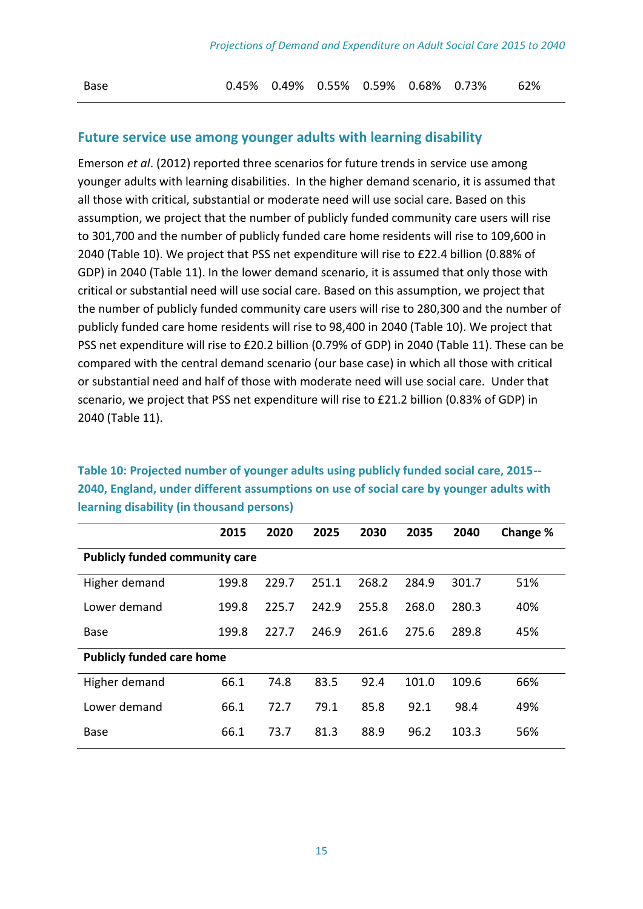Base 0.45% 0.49% 0.55% 0.59% 0.68% 0.73% 62%

#### **Future service use among younger adults with learning disability**

Emerson *et al*. (2012) reported three scenarios for future trends in service use among younger adults with learning disabilities. In the higher demand scenario, it is assumed that all those with critical, substantial or moderate need will use social care. Based on this assumption, we project that the number of publicly funded community care users will rise to 301,700 and the number of publicly funded care home residents will rise to 109,600 in 2040 (Table 10). We project that PSS net expenditure will rise to £22.4 billion (0.88% of GDP) in 2040 (Table 11). In the lower demand scenario, it is assumed that only those with critical or substantial need will use social care. Based on this assumption, we project that the number of publicly funded community care users will rise to 280,300 and the number of publicly funded care home residents will rise to 98,400 in 2040 (Table 10). We project that PSS net expenditure will rise to £20.2 billion (0.79% of GDP) in 2040 (Table 11). These can be compared with the central demand scenario (our base case) in which all those with critical or substantial need and half of those with moderate need will use social care. Under that scenario, we project that PSS net expenditure will rise to £21.2 billion (0.83% of GDP) in 2040 (Table 11).

**Table 10: Projected number of younger adults using publicly funded social care, 2015-- 2040, England, under different assumptions on use of social care by younger adults with learning disability (in thousand persons)**

|                                       | 2015  | 2020  | 2025  | 2030  | 2035  | 2040  | Change % |  |  |  |
|---------------------------------------|-------|-------|-------|-------|-------|-------|----------|--|--|--|
| <b>Publicly funded community care</b> |       |       |       |       |       |       |          |  |  |  |
| Higher demand                         | 199.8 | 229.7 | 251.1 | 268.2 | 284.9 | 301.7 | 51%      |  |  |  |
| Lower demand                          | 199.8 | 225.7 | 242.9 | 255.8 | 268.0 | 280.3 | 40%      |  |  |  |
| <b>Base</b>                           | 199.8 | 227.7 | 246.9 | 261.6 | 275.6 | 289.8 | 45%      |  |  |  |
| <b>Publicly funded care home</b>      |       |       |       |       |       |       |          |  |  |  |
| Higher demand                         | 66.1  | 74.8  | 83.5  | 92.4  | 101.0 | 109.6 | 66%      |  |  |  |
| Lower demand                          | 66.1  | 72.7  | 79.1  | 85.8  | 92.1  | 98.4  | 49%      |  |  |  |
| <b>Base</b>                           | 66.1  | 73.7  | 81.3  | 88.9  | 96.2  | 103.3 | 56%      |  |  |  |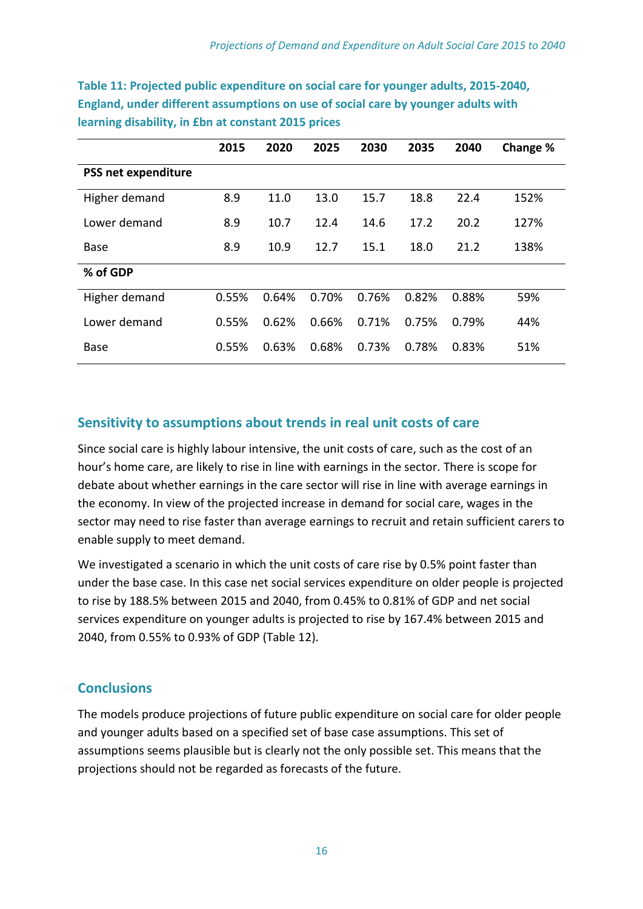|                            | 2015  | 2020  | 2025  | 2030  | 2035  | 2040  | Change % |
|----------------------------|-------|-------|-------|-------|-------|-------|----------|
| <b>PSS net expenditure</b> |       |       |       |       |       |       |          |
| Higher demand              | 8.9   | 11.0  | 13.0  | 15.7  | 18.8  | 22.4  | 152%     |
| Lower demand               | 8.9   | 10.7  | 12.4  | 14.6  | 17.2  | 20.2  | 127%     |
| Base                       | 8.9   | 10.9  | 12.7  | 15.1  | 18.0  | 21.2  | 138%     |
| % of GDP                   |       |       |       |       |       |       |          |
| Higher demand              | 0.55% | 0.64% | 0.70% | 0.76% | 0.82% | 0.88% | 59%      |
| Lower demand               | 0.55% | 0.62% | 0.66% | 0.71% | 0.75% | 0.79% | 44%      |
| <b>Base</b>                | 0.55% | 0.63% | 0.68% | 0.73% | 0.78% | 0.83% | 51%      |

**Table 11: Projected public expenditure on social care for younger adults, 2015-2040, England, under different assumptions on use of social care by younger adults with learning disability, in £bn at constant 2015 prices**

## **Sensitivity to assumptions about trends in real unit costs of care**

Since social care is highly labour intensive, the unit costs of care, such as the cost of an hour's home care, are likely to rise in line with earnings in the sector. There is scope for debate about whether earnings in the care sector will rise in line with average earnings in the economy. In view of the projected increase in demand for social care, wages in the sector may need to rise faster than average earnings to recruit and retain sufficient carers to enable supply to meet demand.

We investigated a scenario in which the unit costs of care rise by 0.5% point faster than under the base case. In this case net social services expenditure on older people is projected to rise by 188.5% between 2015 and 2040, from 0.45% to 0.81% of GDP and net social services expenditure on younger adults is projected to rise by 167.4% between 2015 and 2040, from 0.55% to 0.93% of GDP (Table 12).

## **Conclusions**

The models produce projections of future public expenditure on social care for older people and younger adults based on a specified set of base case assumptions. This set of assumptions seems plausible but is clearly not the only possible set. This means that the projections should not be regarded as forecasts of the future.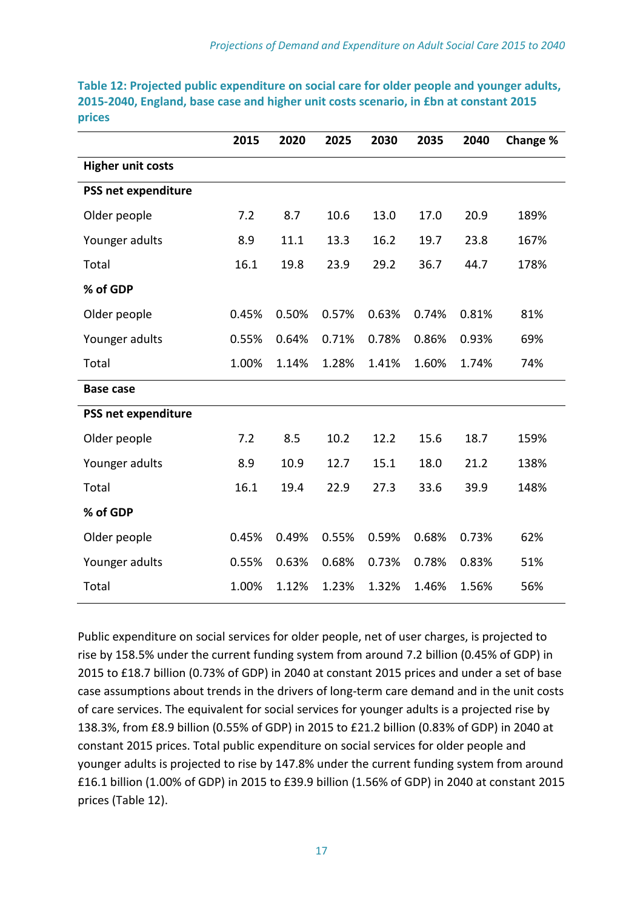|                          | 2015  | 2020  | 2025  | 2030  | 2035  | 2040  | Change % |
|--------------------------|-------|-------|-------|-------|-------|-------|----------|
| <b>Higher unit costs</b> |       |       |       |       |       |       |          |
| PSS net expenditure      |       |       |       |       |       |       |          |
| Older people             | 7.2   | 8.7   | 10.6  | 13.0  | 17.0  | 20.9  | 189%     |
| Younger adults           | 8.9   | 11.1  | 13.3  | 16.2  | 19.7  | 23.8  | 167%     |
| Total                    | 16.1  | 19.8  | 23.9  | 29.2  | 36.7  | 44.7  | 178%     |
| % of GDP                 |       |       |       |       |       |       |          |
| Older people             | 0.45% | 0.50% | 0.57% | 0.63% | 0.74% | 0.81% | 81%      |
| Younger adults           | 0.55% | 0.64% | 0.71% | 0.78% | 0.86% | 0.93% | 69%      |
| Total                    | 1.00% | 1.14% | 1.28% | 1.41% | 1.60% | 1.74% | 74%      |
| <b>Base case</b>         |       |       |       |       |       |       |          |
| PSS net expenditure      |       |       |       |       |       |       |          |
| Older people             | 7.2   | 8.5   | 10.2  | 12.2  | 15.6  | 18.7  | 159%     |
| Younger adults           | 8.9   | 10.9  | 12.7  | 15.1  | 18.0  | 21.2  | 138%     |
| Total                    | 16.1  | 19.4  | 22.9  | 27.3  | 33.6  | 39.9  | 148%     |
| % of GDP                 |       |       |       |       |       |       |          |
| Older people             | 0.45% | 0.49% | 0.55% | 0.59% | 0.68% | 0.73% | 62%      |
| Younger adults           | 0.55% | 0.63% | 0.68% | 0.73% | 0.78% | 0.83% | 51%      |
| Total                    | 1.00% | 1.12% | 1.23% | 1.32% | 1.46% | 1.56% | 56%      |

**Table 12: Projected public expenditure on social care for older people and younger adults, 2015-2040, England, base case and higher unit costs scenario, in £bn at constant 2015 prices**

Public expenditure on social services for older people, net of user charges, is projected to rise by 158.5% under the current funding system from around 7.2 billion (0.45% of GDP) in 2015 to £18.7 billion (0.73% of GDP) in 2040 at constant 2015 prices and under a set of base case assumptions about trends in the drivers of long-term care demand and in the unit costs of care services. The equivalent for social services for younger adults is a projected rise by 138.3%, from £8.9 billion (0.55% of GDP) in 2015 to £21.2 billion (0.83% of GDP) in 2040 at constant 2015 prices. Total public expenditure on social services for older people and younger adults is projected to rise by 147.8% under the current funding system from around £16.1 billion (1.00% of GDP) in 2015 to £39.9 billion (1.56% of GDP) in 2040 at constant 2015 prices (Table 12).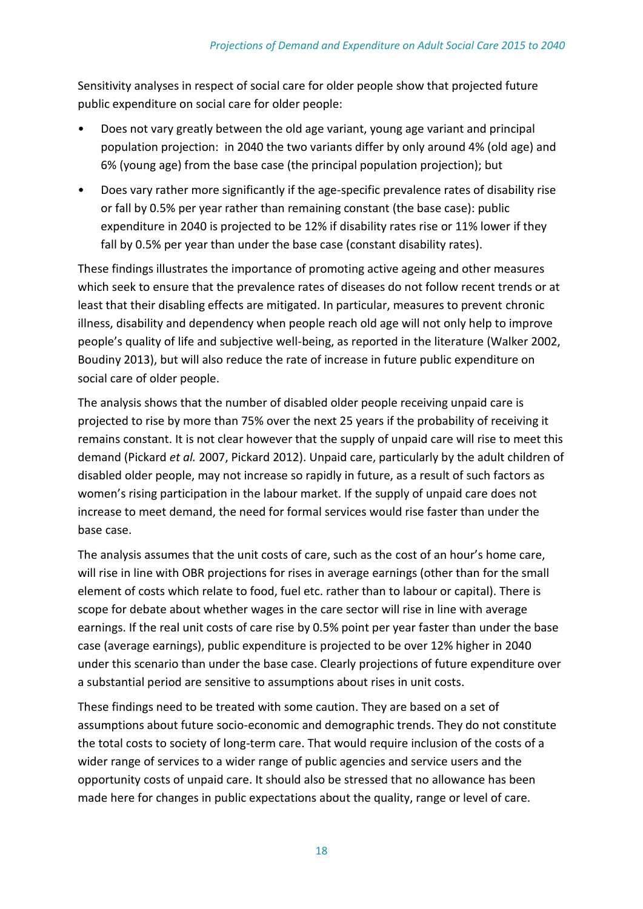Sensitivity analyses in respect of social care for older people show that projected future public expenditure on social care for older people:

- Does not vary greatly between the old age variant, young age variant and principal population projection: in 2040 the two variants differ by only around 4% (old age) and 6% (young age) from the base case (the principal population projection); but
- Does vary rather more significantly if the age-specific prevalence rates of disability rise or fall by 0.5% per year rather than remaining constant (the base case): public expenditure in 2040 is projected to be 12% if disability rates rise or 11% lower if they fall by 0.5% per year than under the base case (constant disability rates).

These findings illustrates the importance of promoting active ageing and other measures which seek to ensure that the prevalence rates of diseases do not follow recent trends or at least that their disabling effects are mitigated. In particular, measures to prevent chronic illness, disability and dependency when people reach old age will not only help to improve people's quality of life and subjective well-being, as reported in the literature (Walker 2002, Boudiny 2013), but will also reduce the rate of increase in future public expenditure on social care of older people.

The analysis shows that the number of disabled older people receiving unpaid care is projected to rise by more than 75% over the next 25 years if the probability of receiving it remains constant. It is not clear however that the supply of unpaid care will rise to meet this demand (Pickard *et al.* 2007, Pickard 2012). Unpaid care, particularly by the adult children of disabled older people, may not increase so rapidly in future, as a result of such factors as women's rising participation in the labour market. If the supply of unpaid care does not increase to meet demand, the need for formal services would rise faster than under the base case.

The analysis assumes that the unit costs of care, such as the cost of an hour's home care, will rise in line with OBR projections for rises in average earnings (other than for the small element of costs which relate to food, fuel etc. rather than to labour or capital). There is scope for debate about whether wages in the care sector will rise in line with average earnings. If the real unit costs of care rise by 0.5% point per year faster than under the base case (average earnings), public expenditure is projected to be over 12% higher in 2040 under this scenario than under the base case. Clearly projections of future expenditure over a substantial period are sensitive to assumptions about rises in unit costs.

These findings need to be treated with some caution. They are based on a set of assumptions about future socio-economic and demographic trends. They do not constitute the total costs to society of long-term care. That would require inclusion of the costs of a wider range of services to a wider range of public agencies and service users and the opportunity costs of unpaid care. It should also be stressed that no allowance has been made here for changes in public expectations about the quality, range or level of care.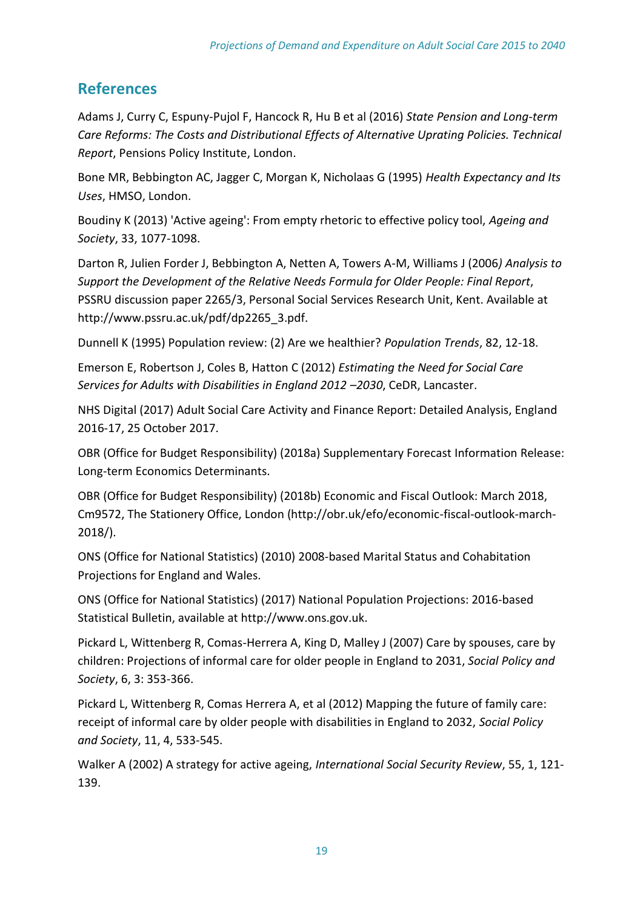## **References**

Adams J, Curry C, Espuny-Pujol F, Hancock R, Hu B et al (2016) *State Pension and Long-term Care Reforms: The Costs and Distributional Effects of Alternative Uprating Policies. Technical Report*, Pensions Policy Institute, London.

Bone MR, Bebbington AC, Jagger C, Morgan K, Nicholaas G (1995) *Health Expectancy and Its Uses*, HMSO, London.

Boudiny K (2013) 'Active ageing': From empty rhetoric to effective policy tool, *Ageing and Society*, 33, 1077-1098.

Darton R, Julien Forder J, Bebbington A, Netten A, Towers A-M, Williams J (2006*) Analysis to Support the Development of the Relative Needs Formula for Older People: Final Report*, PSSRU discussion paper 2265/3, Personal Social Services Research Unit, Kent. Available at http://www.pssru.ac.uk/pdf/dp2265\_3.pdf.

Dunnell K (1995) Population review: (2) Are we healthier? *Population Trends*, 82, 12-18.

Emerson E, Robertson J, Coles B, Hatton C (2012) *Estimating the Need for Social Care Services for Adults with Disabilities in England 2012 –2030*, CeDR, Lancaster.

NHS Digital (2017) Adult Social Care Activity and Finance Report: Detailed Analysis, England 2016-17, 25 October 2017.

OBR (Office for Budget Responsibility) (2018a) Supplementary Forecast Information Release: Long-term Economics Determinants.

OBR (Office for Budget Responsibility) (2018b) Economic and Fiscal Outlook: March 2018, Cm9572, The Stationery Office, London (http://obr.uk/efo/economic-fiscal-outlook-march-2018/).

ONS (Office for National Statistics) (2010) 2008-based Marital Status and Cohabitation Projections for England and Wales.

ONS (Office for National Statistics) (2017) National Population Projections: 2016-based Statistical Bulletin, available at http://www.ons.gov.uk.

Pickard L, Wittenberg R, Comas-Herrera A, King D, Malley J (2007) Care by spouses, care by children: Projections of informal care for older people in England to 2031, *Social Policy and Society*, 6, 3: 353-366.

Pickard L, Wittenberg R, Comas Herrera A, et al (2012) Mapping the future of family care: receipt of informal care by older people with disabilities in England to 2032, *Social Policy and Society*, 11, 4, 533-545.

Walker A (2002) A strategy for active ageing, *International Social Security Review*, 55, 1, 121- 139.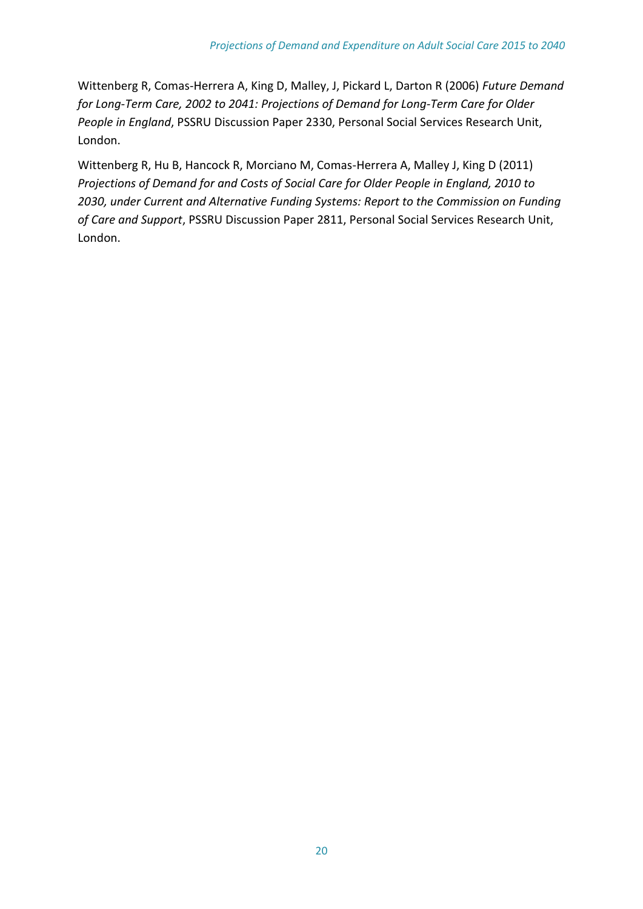Wittenberg R, Comas-Herrera A, King D, Malley, J, Pickard L, Darton R (2006) *Future Demand for Long-Term Care, 2002 to 2041: Projections of Demand for Long-Term Care for Older People in England*, PSSRU Discussion Paper 2330, Personal Social Services Research Unit, London.

Wittenberg R, Hu B, Hancock R, Morciano M, Comas-Herrera A, Malley J, King D (2011) *Projections of Demand for and Costs of Social Care for Older People in England, 2010 to 2030, under Current and Alternative Funding Systems: Report to the Commission on Funding of Care and Support*, PSSRU Discussion Paper 2811, Personal Social Services Research Unit, London.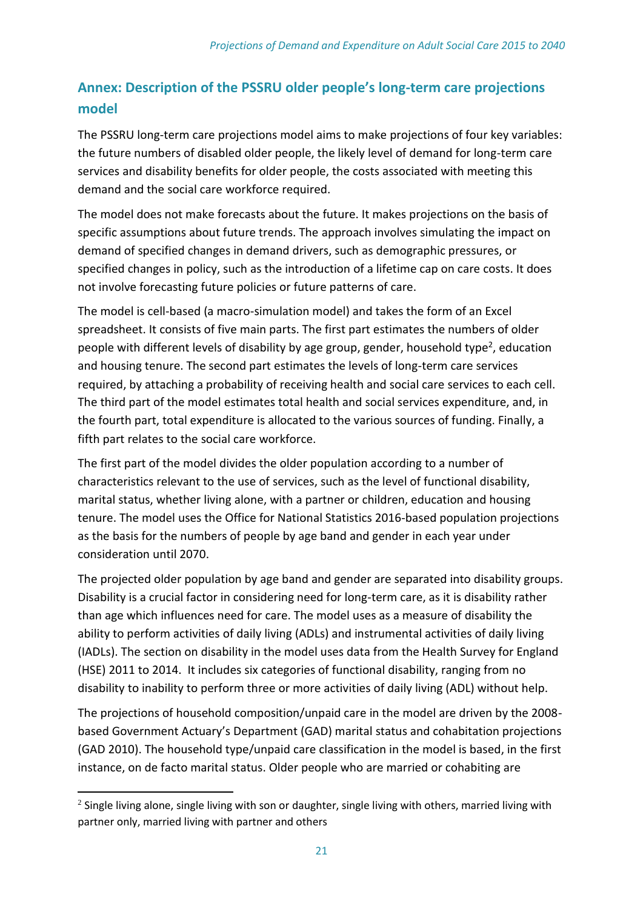# **Annex: Description of the PSSRU older people's long-term care projections model**

The PSSRU long-term care projections model aims to make projections of four key variables: the future numbers of disabled older people, the likely level of demand for long-term care services and disability benefits for older people, the costs associated with meeting this demand and the social care workforce required.

The model does not make forecasts about the future. It makes projections on the basis of specific assumptions about future trends. The approach involves simulating the impact on demand of specified changes in demand drivers, such as demographic pressures, or specified changes in policy, such as the introduction of a lifetime cap on care costs. It does not involve forecasting future policies or future patterns of care.

The model is cell-based (a macro-simulation model) and takes the form of an Excel spreadsheet. It consists of five main parts. The first part estimates the numbers of older people with different levels of disability by age group, gender, household type<sup>2</sup>, education and housing tenure. The second part estimates the levels of long-term care services required, by attaching a probability of receiving health and social care services to each cell. The third part of the model estimates total health and social services expenditure, and, in the fourth part, total expenditure is allocated to the various sources of funding. Finally, a fifth part relates to the social care workforce.

The first part of the model divides the older population according to a number of characteristics relevant to the use of services, such as the level of functional disability, marital status, whether living alone, with a partner or children, education and housing tenure. The model uses the Office for National Statistics 2016-based population projections as the basis for the numbers of people by age band and gender in each year under consideration until 2070.

The projected older population by age band and gender are separated into disability groups. Disability is a crucial factor in considering need for long-term care, as it is disability rather than age which influences need for care. The model uses as a measure of disability the ability to perform activities of daily living (ADLs) and instrumental activities of daily living (IADLs). The section on disability in the model uses data from the Health Survey for England (HSE) 2011 to 2014. It includes six categories of functional disability, ranging from no disability to inability to perform three or more activities of daily living (ADL) without help.

The projections of household composition/unpaid care in the model are driven by the 2008 based Government Actuary's Department (GAD) marital status and cohabitation projections (GAD 2010). The household type/unpaid care classification in the model is based, in the first instance, on de facto marital status. Older people who are married or cohabiting are

**.** 

 $^2$  Single living alone, single living with son or daughter, single living with others, married living with partner only, married living with partner and others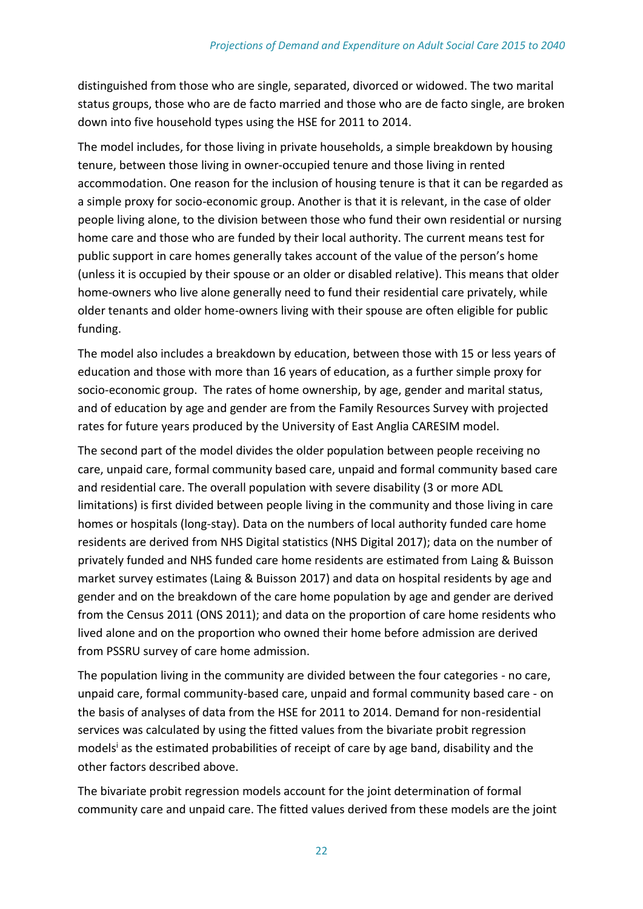distinguished from those who are single, separated, divorced or widowed. The two marital status groups, those who are de facto married and those who are de facto single, are broken down into five household types using the HSE for 2011 to 2014.

The model includes, for those living in private households, a simple breakdown by housing tenure, between those living in owner-occupied tenure and those living in rented accommodation. One reason for the inclusion of housing tenure is that it can be regarded as a simple proxy for socio-economic group. Another is that it is relevant, in the case of older people living alone, to the division between those who fund their own residential or nursing home care and those who are funded by their local authority. The current means test for public support in care homes generally takes account of the value of the person's home (unless it is occupied by their spouse or an older or disabled relative). This means that older home-owners who live alone generally need to fund their residential care privately, while older tenants and older home-owners living with their spouse are often eligible for public funding.

The model also includes a breakdown by education, between those with 15 or less years of education and those with more than 16 years of education, as a further simple proxy for socio-economic group. The rates of home ownership, by age, gender and marital status, and of education by age and gender are from the Family Resources Survey with projected rates for future years produced by the University of East Anglia CARESIM model.

The second part of the model divides the older population between people receiving no care, unpaid care, formal community based care, unpaid and formal community based care and residential care. The overall population with severe disability (3 or more ADL limitations) is first divided between people living in the community and those living in care homes or hospitals (long-stay). Data on the numbers of local authority funded care home residents are derived from NHS Digital statistics (NHS Digital 2017); data on the number of privately funded and NHS funded care home residents are estimated from Laing & Buisson market survey estimates (Laing & Buisson 2017) and data on hospital residents by age and gender and on the breakdown of the care home population by age and gender are derived from the Census 2011 (ONS 2011); and data on the proportion of care home residents who lived alone and on the proportion who owned their home before admission are derived from PSSRU survey of care home admission.

The population living in the community are divided between the four categories - no care, unpaid care, formal community-based care, unpaid and formal community based care - on the basis of analyses of data from the HSE for 2011 to 2014. Demand for non-residential services was calculated by using the fitted values from the bivariate probit regression models<sup>i</sup> as the estimated probabilities of receipt of care by age band, disability and the other factors described above.

The bivariate probit regression models account for the joint determination of formal community care and unpaid care. The fitted values derived from these models are the joint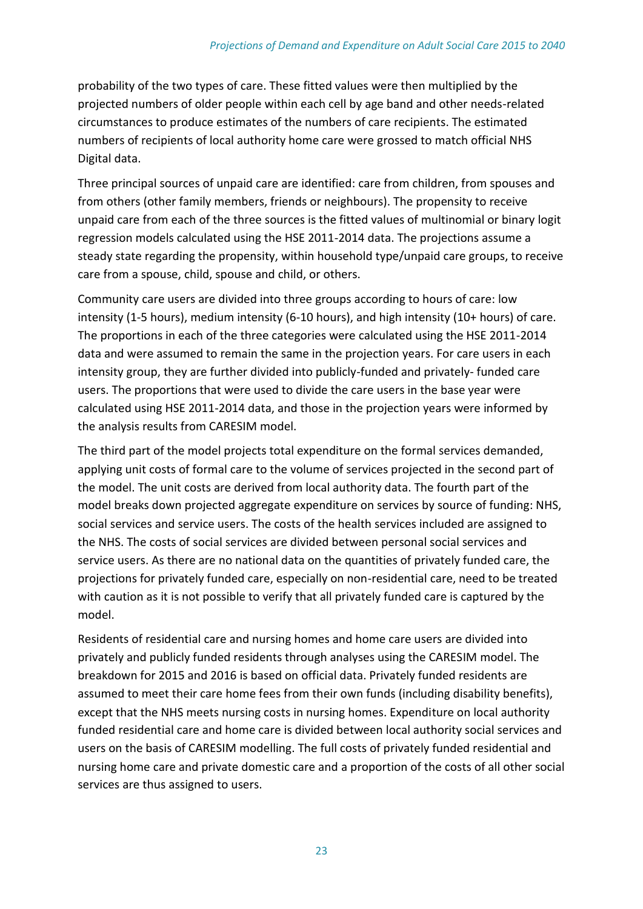probability of the two types of care. These fitted values were then multiplied by the projected numbers of older people within each cell by age band and other needs-related circumstances to produce estimates of the numbers of care recipients. The estimated numbers of recipients of local authority home care were grossed to match official NHS Digital data.

Three principal sources of unpaid care are identified: care from children, from spouses and from others (other family members, friends or neighbours). The propensity to receive unpaid care from each of the three sources is the fitted values of multinomial or binary logit regression models calculated using the HSE 2011-2014 data. The projections assume a steady state regarding the propensity, within household type/unpaid care groups, to receive care from a spouse, child, spouse and child, or others.

Community care users are divided into three groups according to hours of care: low intensity (1-5 hours), medium intensity (6-10 hours), and high intensity (10+ hours) of care. The proportions in each of the three categories were calculated using the HSE 2011-2014 data and were assumed to remain the same in the projection years. For care users in each intensity group, they are further divided into publicly-funded and privately- funded care users. The proportions that were used to divide the care users in the base year were calculated using HSE 2011-2014 data, and those in the projection years were informed by the analysis results from CARESIM model.

The third part of the model projects total expenditure on the formal services demanded, applying unit costs of formal care to the volume of services projected in the second part of the model. The unit costs are derived from local authority data. The fourth part of the model breaks down projected aggregate expenditure on services by source of funding: NHS, social services and service users. The costs of the health services included are assigned to the NHS. The costs of social services are divided between personal social services and service users. As there are no national data on the quantities of privately funded care, the projections for privately funded care, especially on non-residential care, need to be treated with caution as it is not possible to verify that all privately funded care is captured by the model.

Residents of residential care and nursing homes and home care users are divided into privately and publicly funded residents through analyses using the CARESIM model. The breakdown for 2015 and 2016 is based on official data. Privately funded residents are assumed to meet their care home fees from their own funds (including disability benefits), except that the NHS meets nursing costs in nursing homes. Expenditure on local authority funded residential care and home care is divided between local authority social services and users on the basis of CARESIM modelling. The full costs of privately funded residential and nursing home care and private domestic care and a proportion of the costs of all other social services are thus assigned to users.